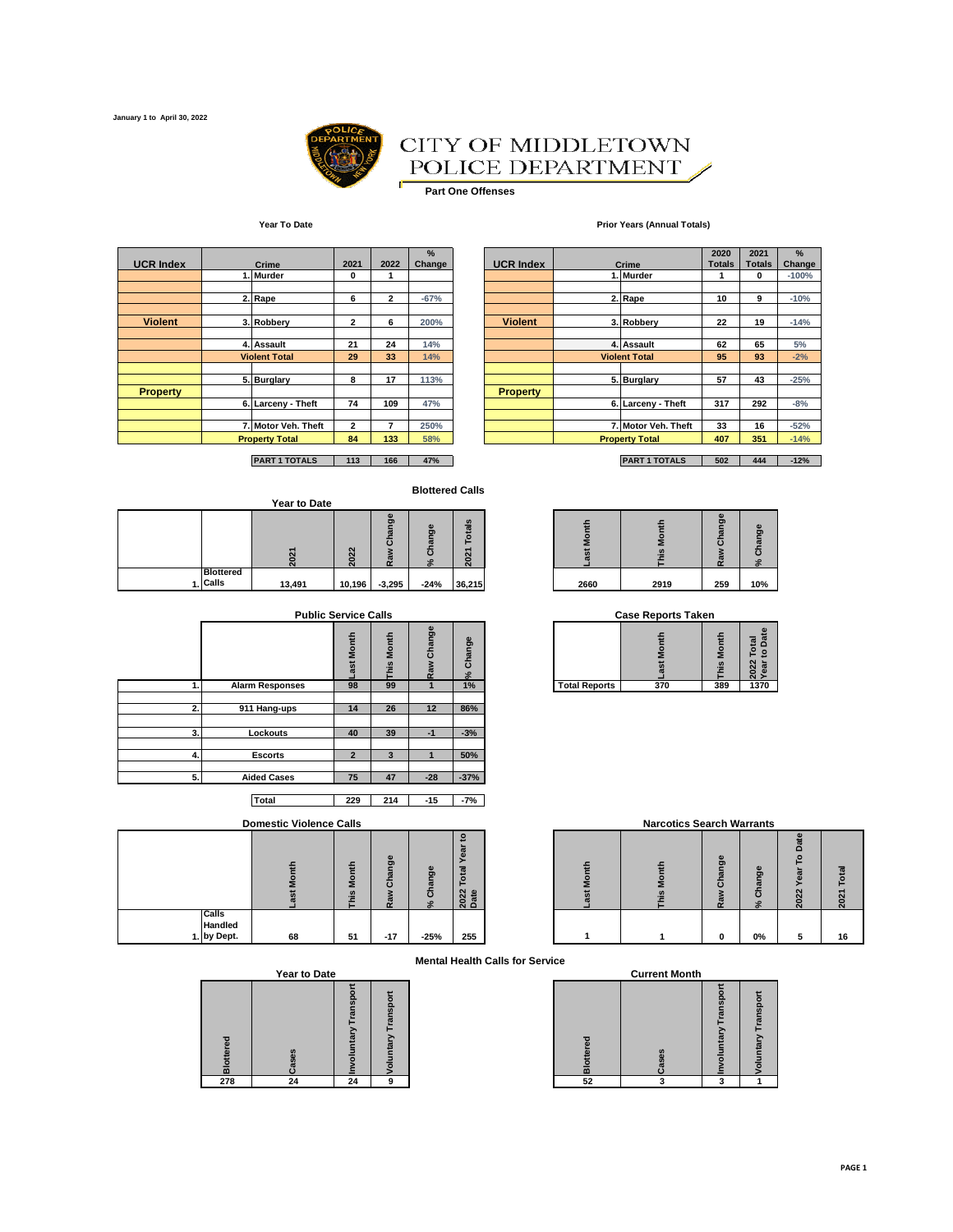

#### CITY OF MIDDLETOWN POLICE DEPARTMENT Í

 $\blacksquare$ **Part One Offenses**

#### **Year To Date Prior Years (Annual Totals)**

| <b>UCR Index</b> |  | 2021                  | 2022           | %<br>Change    | <b>UCR Index</b> | Crime           | 2020<br><b>Totals</b> | 2021<br><b>Totals</b> |     |
|------------------|--|-----------------------|----------------|----------------|------------------|-----------------|-----------------------|-----------------------|-----|
|                  |  | 1. Murder             | 0              |                |                  |                 | 1. Murder             |                       | 0   |
|                  |  | 2. Rape               | 6              | $\overline{2}$ | $-67%$           |                 | 2. Rape               | 10                    | 9   |
| <b>Violent</b>   |  | 3. Robbery            | $\overline{2}$ | 6              | 200%             | <b>Violent</b>  | 3. Robbery            | 22                    | 19  |
|                  |  | 4. Assault            | 21             | 24             | 14%              |                 | 4. Assault            | 62                    | 65  |
|                  |  | <b>Violent Total</b>  | 29             | 33             | 14%              |                 | <b>Violent Total</b>  | 95                    | 93  |
|                  |  | 5. Burglary           | 8              | 17             | 113%             |                 | 5. Burglary           | 57                    | 43  |
| <b>Property</b>  |  |                       |                |                |                  | <b>Property</b> |                       |                       |     |
|                  |  | 6. Larceny - Theft    | 74             | 109            | 47%              |                 | 6. Larceny - Theft    | 317                   | 292 |
|                  |  | 7. Motor Veh. Theft   | $\mathbf{2}$   | 7              | 250%             |                 | 7. Motor Veh. Theft   | 33                    | 16  |
|                  |  | <b>Property Total</b> | 84             | 133            | 58%              |                 | <b>Property Total</b> | 407                   | 351 |

|                |                       | 2. Rape              | 6              | $\overline{2}$ | $-67%$ |                 | 2. Rape               | 10  | 9   | $-10%$ |
|----------------|-----------------------|----------------------|----------------|----------------|--------|-----------------|-----------------------|-----|-----|--------|
|                |                       |                      |                |                |        |                 |                       |     |     |        |
| <b>Violent</b> |                       | 3. Robberv           | $\overline{2}$ | 6              | 200%   | <b>Violent</b>  | 3. Robbery            | 22  | 19  | $-14%$ |
|                |                       |                      |                |                |        |                 |                       |     |     |        |
|                |                       | 4. Assault           | 21             | 24             | 14%    |                 | 4. Assault            | 62  | 65  | 5%     |
|                |                       | <b>Violent Total</b> | 29             | 33             | 14%    |                 | <b>Violent Total</b>  | 95  | 93  | $-2%$  |
|                |                       |                      |                |                |        |                 |                       |     |     |        |
|                |                       | 5. Burglary          | 8              | 17             | 113%   |                 | 5. Burglary           | 57  | 43  | $-25%$ |
| Property       |                       |                      |                |                |        | <b>Property</b> |                       |     |     |        |
|                |                       | 6. Larceny - Theft   | 74             | 109            | 47%    |                 | 6. Larceny - Theft    | 317 | 292 | $-8%$  |
|                |                       |                      |                |                |        |                 |                       |     |     |        |
|                |                       | 7. Motor Veh. Theft  | $\mathbf{2}$   |                | 250%   |                 | 7. Motor Veh. Theft   | 33  | 16  | $-52%$ |
|                | <b>Property Total</b> |                      | 84             | 133            | 58%    |                 | <b>Property Total</b> | 407 | 351 | $-14%$ |
|                |                       |                      |                |                |        |                 |                       |     |     |        |
|                |                       |                      |                |                |        |                 |                       |     |     |        |

**PART 1 TOTALS 113 166 47% PART 1 TOTALS 502 444 -12%**

#### **Blottered Calls**

|  |                  |              |                       |                                 | <b>Blottered Calls</b>         |                                                         |        |      |                                             |                                     |
|--|------------------|--------------|-----------------------|---------------------------------|--------------------------------|---------------------------------------------------------|--------|------|---------------------------------------------|-------------------------------------|
|  |                  | Year to Date |                       |                                 |                                |                                                         |        |      |                                             |                                     |
|  |                  |              | $\sim$<br>$\sim$<br>┍ | œ<br>Ō<br>$\mathbf c$<br>ā<br>œ | $\bullet$<br>ත<br>ത<br>ō<br>٠o | S<br><u>Tai</u><br>⊢<br>$\overline{ }$<br>$\frac{2}{3}$ | ≖<br>≥ |      | $\omega$<br>ත<br>ത<br>$\boldsymbol{\varpi}$ | $\bullet$<br>ಠಾ<br>m<br>ō<br>$\geq$ |
|  | <b>Blottered</b> |              |                       |                                 |                                |                                                         |        |      |                                             |                                     |
|  | 1. Calls         | 13,491       | 10,196                | $-3,295$                        | $-24%$                         | 36,215                                                  | 2660   | 2919 | 259                                         | 10%                                 |

|    | <b>Public Service Calls</b> |                |              |               |              | <b>Case Reports Taken</b> |              |               |                                  |
|----|-----------------------------|----------------|--------------|---------------|--------------|---------------------------|--------------|---------------|----------------------------------|
|    |                             | Month<br>ä     | Month<br>his | Change<br>wes | Change<br>న్ |                           | Montl<br>ast | f<br>៖<br>nis | Total<br>to Date<br>2022<br>Year |
| 1. | <b>Alarm Responses</b>      | 98             | 99           |               | 1%           | <b>Total Reports</b>      | 370          | 389           | 1370                             |
| 2. | 911 Hang-ups                | 14             | 26           | 12            | 86%          |                           |              |               |                                  |
| 3. | Lockouts                    | 40             | 39           | -1            | $-3%$        |                           |              |               |                                  |
|    |                             |                |              |               |              |                           |              |               |                                  |
| 4. | <b>Escorts</b>              | $\overline{2}$ | 3            |               | 50%          |                           |              |               |                                  |
| 5. | <b>Aided Cases</b>          | 75             | 47           | $-28$         | $-37%$       |                           |              |               |                                  |

**Total 229 214 -15 -7%**

#### **Domestic Violence Calls**

|                                    | Montl<br>æ | his Month | Change<br>Raw | Change<br>$\approx$ | ິ<br>yea<br>Taio.<br>2022<br>Date |
|------------------------------------|------------|-----------|---------------|---------------------|-----------------------------------|
| Calls<br>Handled<br>by Dept.<br>1. | 68         | 51        | $-17$         | $-25%$              | 255                               |

| <b>Year to Date</b> |  |
|---------------------|--|
|                     |  |

| <b>Blottered</b> | Cases | <b>Nandaluntary Transpo</b> | <b>Voluntary Transpor</b> |
|------------------|-------|-----------------------------|---------------------------|
| 278              | 24    |                             | 9                         |

**% Change**

|      | $\sim$<br>ົ<br>- | m<br>σ.<br>æ<br>r | ω<br>దా<br>. a | $\omega$<br>ಹ<br>$\overline{\mathbf{c}}$<br>c |      |      | CD<br>ō<br>ത<br>ō<br>œ<br>$\sim$ | ಠಾ  |
|------|------------------|-------------------|----------------|-----------------------------------------------|------|------|----------------------------------|-----|
| ,491 | 10,196           | $-3,295$          | $-24%$         | 36,215                                        | 2660 | 2919 | 259                              | 10% |

**Case Reports Taken** 

| -<br>ب<br>o<br>ä<br>ത | S<br> | æ<br>æ |                      |     |     | m             |  |
|-----------------------|-------|--------|----------------------|-----|-----|---------------|--|
| 98                    | 99    | 1%     | <b>Total Reports</b> | 370 | 389 | 1270<br>137 U |  |

|                              | <b>Domestic Violence Calls</b> |                               |                                    |          |                           | <b>Narcotics Search Warrants</b> |  |               |              |   |    |
|------------------------------|--------------------------------|-------------------------------|------------------------------------|----------|---------------------------|----------------------------------|--|---------------|--------------|---|----|
|                              |                                | ≂<br>$\circ$<br>ż<br>$\omega$ | ω<br>ත<br>$\mathfrak{a}$<br>ō<br>ದ | န္တ<br>ō | Date<br>$\mathbf{z}$<br>0 |                                  |  | <u>ზ</u><br>ō | മ<br>σ.<br>ᢐ | n | പ  |
| Calls<br>Handled<br>by Dept. | 68                             | 51                            | $-17$                              | $-25%$   | 255                       |                                  |  | 0             | 0%           |   | 16 |

**Mental Health Calls for Service**

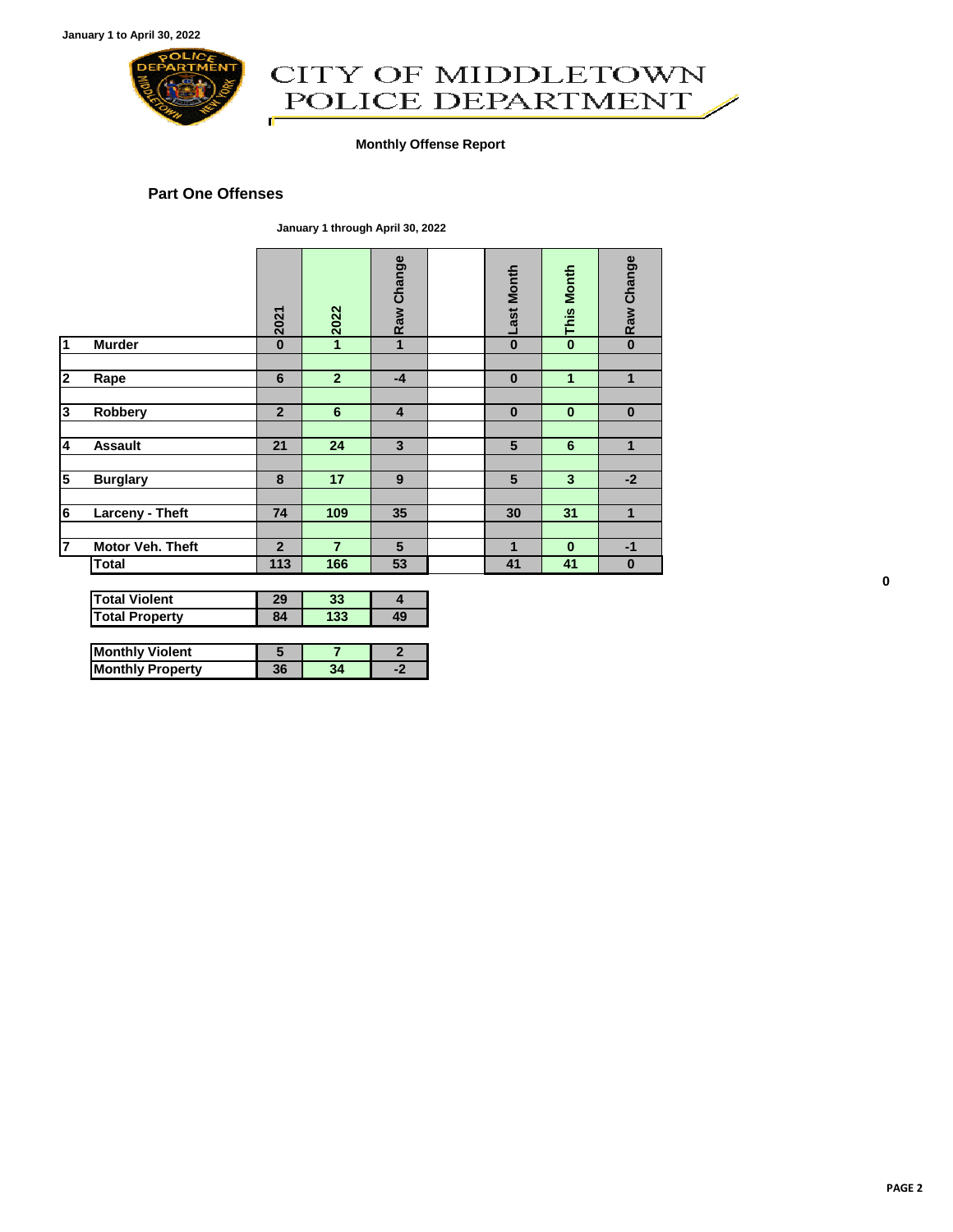

## CITY OF MIDDLETOWN<br>POLICE DEPARTMENT ď

#### **Monthly Offense Report**

#### **Part One Offenses**

**January 1 through April 30, 2022**

|                |                       | 2021           | 2022           | Raw Change     | <b>Last Month</b> | <b>This Month</b> | Raw Change   |
|----------------|-----------------------|----------------|----------------|----------------|-------------------|-------------------|--------------|
| $\mathbf{1}$   | <b>Murder</b>         | $\bf{0}$       | 1              | $\mathbf{1}$   | $\bf{0}$          | $\bf{0}$          | $\mathbf{0}$ |
|                |                       |                |                |                |                   |                   |              |
| $\mathbf{2}$   | Rape                  | 6              | $\overline{2}$ | $-4$           | $\bf{0}$          | 1                 | 1            |
|                |                       |                |                |                |                   |                   |              |
| 3              | Robbery               | $\overline{2}$ | 6              | $\overline{4}$ | $\bf{0}$          | $\bf{0}$          | $\bf{0}$     |
|                |                       |                |                |                |                   |                   |              |
| 4              | <b>Assault</b>        | 21             | 24             | $\overline{3}$ | 5                 | $6\phantom{1}$    | 1            |
|                |                       |                |                |                |                   |                   |              |
| 5              | <b>Burglary</b>       | 8              | 17             | 9              | 5                 | $\overline{3}$    | $-2$         |
|                |                       |                |                |                |                   |                   |              |
| 6              | Larceny - Theft       | 74             | 109            | 35             | 30                | 31                | 1            |
|                |                       |                |                |                |                   |                   |              |
| $\overline{7}$ | Motor Veh. Theft      | $\overline{2}$ | $\overline{7}$ | 5              | 1                 | $\bf{0}$          | $-1$         |
|                | <b>Total</b>          | 113            | 166            | 53             | 41                | 41                | $\bf{0}$     |
|                |                       |                |                |                |                   |                   |              |
|                | <b>Total Violent</b>  | 29             | 33             | 4              |                   |                   |              |
|                | <b>Total Property</b> | 84             | 133            | 49             |                   |                   |              |

| <b>Monthly Violent</b>  |    |  |
|-------------------------|----|--|
| <b>Monthly Property</b> | 36 |  |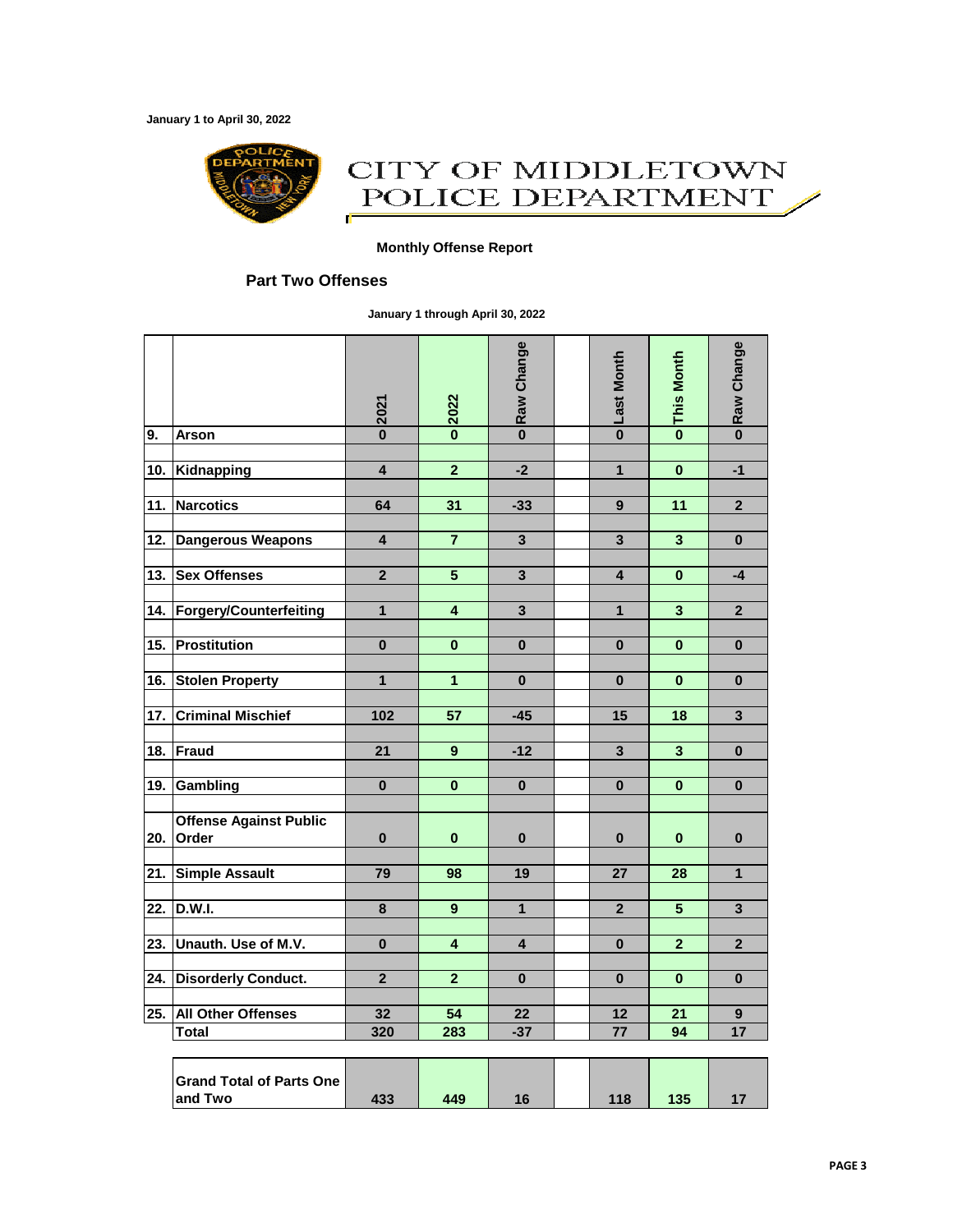**January 1 to April 30, 2022**



## CITY OF MIDDLETOWN POLICE DEPARTMENT Œ

#### **Monthly Offense Report**

### **Part Two Offenses**

**January 1 through April 30, 2022**

|                   |                                            | 2021                    | 2022                    | Raw Change              | <b>Last Month</b>       | <b>This Month</b>       | Raw Change              |
|-------------------|--------------------------------------------|-------------------------|-------------------------|-------------------------|-------------------------|-------------------------|-------------------------|
| 9.                | <b>Arson</b>                               | $\bf{0}$                | $\mathbf{0}$            | $\overline{\mathbf{0}}$ | $\overline{\mathbf{0}}$ | $\overline{\mathbf{0}}$ | $\overline{\mathbf{0}}$ |
|                   |                                            | $\overline{\mathbf{4}}$ | $\overline{2}$          | $-2$                    | $\overline{1}$          | $\overline{\mathbf{0}}$ | $-1$                    |
| 10.               | Kidnapping                                 |                         |                         |                         |                         |                         |                         |
| 11.               | <b>Narcotics</b>                           | 64                      | 31                      | $-33$                   | 9                       | $\overline{11}$         | $\overline{2}$          |
|                   |                                            |                         |                         |                         |                         |                         |                         |
| 12.               | <b>Dangerous Weapons</b>                   | $\overline{\mathbf{4}}$ | $\overline{7}$          | $\overline{\mathbf{3}}$ | 3                       | $\overline{\mathbf{3}}$ | $\bf{0}$                |
|                   |                                            |                         |                         |                         |                         |                         |                         |
| 13.               | <b>Sex Offenses</b>                        | $\overline{\mathbf{2}}$ | 5                       | 3                       | 4                       | $\bf{0}$                | $-4$                    |
| 14.               | Forgery/Counterfeiting                     | 1                       | $\overline{\mathbf{4}}$ | 3                       | 1                       | $\overline{\mathbf{3}}$ | $\overline{2}$          |
|                   |                                            |                         |                         |                         |                         |                         |                         |
| 15.               | <b>Prostitution</b>                        | $\bf{0}$                | $\bf{0}$                | $\bf{0}$                | 0                       | $\bf{0}$                | $\bf{0}$                |
|                   |                                            |                         |                         |                         |                         |                         |                         |
| 16.               | <b>Stolen Property</b>                     | $\mathbf{1}$            | 1                       | $\bf{0}$                | 0                       | $\bf{0}$                | $\bf{0}$                |
| 17.               | <b>Criminal Mischief</b>                   | 102                     | 57                      | $-45$                   | 15                      | 18                      | 3                       |
| 18.               | <b>Fraud</b>                               | 21                      | $\mathbf{9}$            | $-12$                   | 3                       | $\overline{\mathbf{3}}$ | $\bf{0}$                |
|                   |                                            |                         |                         |                         |                         |                         |                         |
| 19.               | Gambling                                   | $\bf{0}$                | 0                       | $\bf{0}$                | 0                       | $\bf{0}$                | $\bf{0}$                |
| 20.               | <b>Offense Against Public</b><br>Order     | $\bf{0}$                | $\bf{0}$                | $\bf{0}$                | 0                       | 0                       | $\bf{0}$                |
| 21.               | <b>Simple Assault</b>                      | 79                      | 98                      | 19                      | 27                      | 28                      | 1                       |
|                   |                                            |                         |                         |                         |                         |                         |                         |
| $\overline{22}$ . | <b>D.W.I.</b>                              | 8                       | 9                       | $\overline{1}$          | $\overline{2}$          | 5                       | $\overline{\mathbf{3}}$ |
|                   |                                            |                         |                         |                         |                         |                         |                         |
| 23.               | Unauth. Use of M.V.                        | $\bf{0}$                | 4                       | 4                       | 0                       | $\overline{2}$          | $\overline{2}$          |
| 24.               | <b>Disorderly Conduct.</b>                 | $\overline{\mathbf{2}}$ | $\overline{\mathbf{2}}$ | $\bf{0}$                | $\bf{0}$                | $\bf{0}$                | $\bf{0}$                |
| 25.               | <b>All Other Offenses</b>                  | 32                      | 54                      | 22                      | 12                      | 21                      | $\mathbf{9}$            |
|                   | <b>Total</b>                               | 320                     | 283                     | $-37$                   | 77                      | 94                      | 17                      |
|                   |                                            |                         |                         |                         |                         |                         |                         |
|                   | <b>Grand Total of Parts One</b><br>and Two | 433                     | 449                     | 16                      | 118                     | 135                     | 17                      |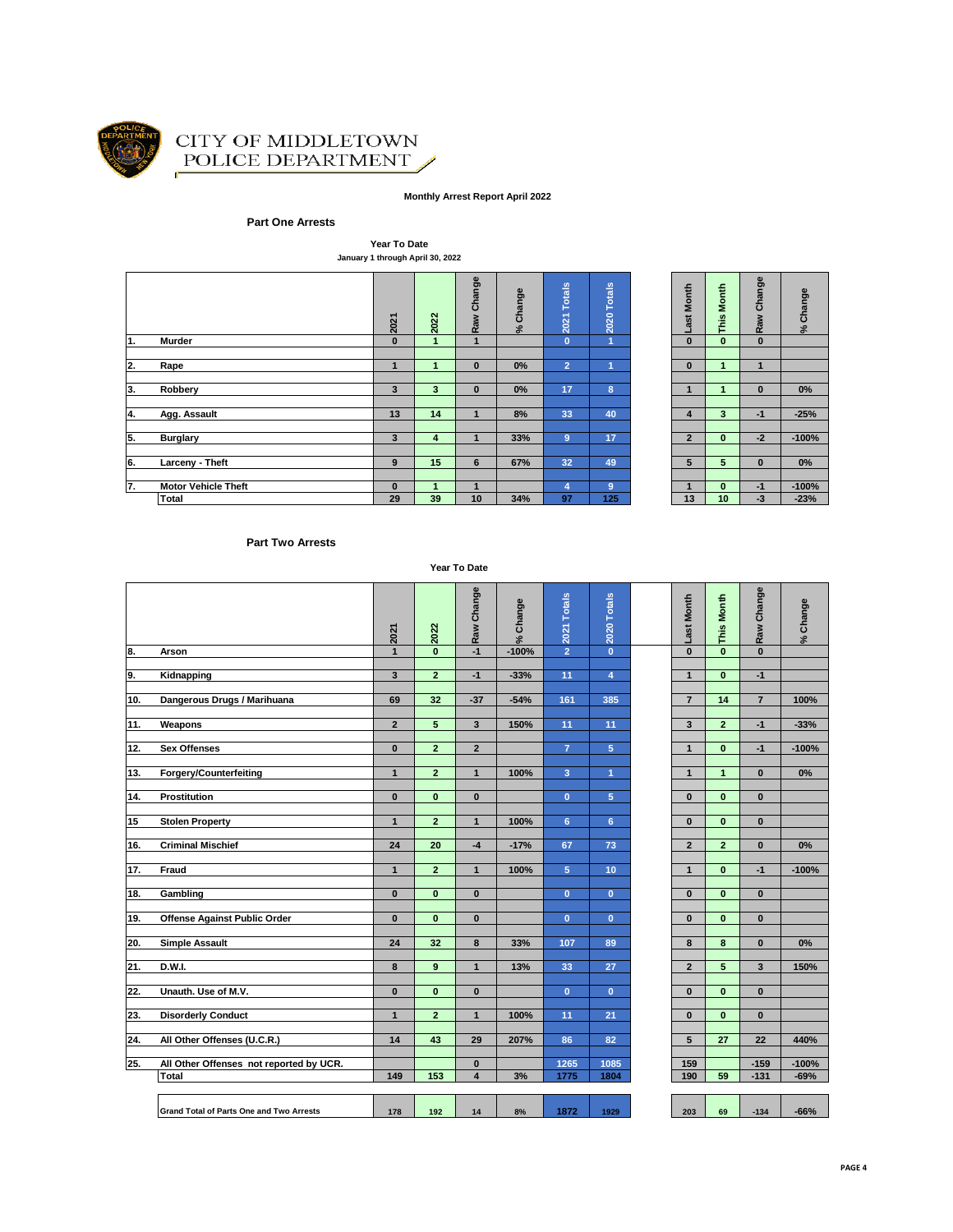

#### CITY OF MIDDLETOWN POLICE DEPARTMENT Í

#### **Monthly Arrest Report April 2022**

#### **Part One Arrests**

**Year To Date January 1 through April 30, 2022**

|                           |                            | 2021     | 2022 | Raw Change   | % Change | <b>Totals</b><br>2021 | 2020 Totals    | Month<br>ast   | Month<br>This        | Change<br>Raw | Change<br>$\mathbf{S}^{\mathbf{c}}$ |
|---------------------------|----------------------------|----------|------|--------------|----------|-----------------------|----------------|----------------|----------------------|---------------|-------------------------------------|
| 1.                        | Murder                     | $\bf{0}$ |      | 1            |          | $\mathbf{0}$          | $\overline{1}$ | $\bf{0}$       | $\mathbf{0}$         | $\bf{0}$      |                                     |
|                           |                            |          |      |              |          |                       |                |                |                      |               |                                     |
| $\overline{2}$ .          | Rape                       |          |      | $\bf{0}$     | 0%       | $\overline{2}$        |                | $\bf{0}$       | 1                    | ч.            |                                     |
|                           |                            |          |      |              |          |                       |                |                |                      |               |                                     |
| 3.                        | Robbery                    | 3        | 3    | $\bf{0}$     | 0%       | 17                    | 8              |                | $\blacktriangleleft$ | $\bf{0}$      | $0\%$                               |
|                           |                            |          |      |              |          |                       |                |                |                      |               |                                     |
| $\overline{\mathbf{4}}$ . | Agg. Assault               | 13       | 14   | $\mathbf{1}$ | 8%       | 33                    | 40             | 4              | 3                    | $-1$          | $-25%$                              |
|                           |                            |          |      |              |          |                       |                |                |                      |               |                                     |
| 5.                        | <b>Burglary</b>            | 3        | 4    | 1            | 33%      | 9                     | 17             | $\overline{2}$ | $\mathbf{0}$         | $-2$          | $-100%$                             |
|                           |                            |          |      |              |          |                       |                |                |                      |               |                                     |
| 6.                        | Larceny - Theft            | 9        | 15   | 6            | 67%      | 32                    | 49             | 5              | 5                    | $\bf{0}$      | $0\%$                               |
|                           |                            |          |      |              |          |                       |                |                |                      |               |                                     |
| 7.                        | <b>Motor Vehicle Theft</b> | $\bf{0}$ |      | $\mathbf{1}$ |          | 4                     | 9              |                | $\mathbf{0}$         | $-1$          | $-100%$                             |
|                           | Total                      | 29       | 39   | 10           | 34%      | 97                    | 125            | 13             | 10                   | $-3$          | $-23%$                              |
|                           |                            |          |      |              |          |                       |                |                |                      |               |                                     |

|          |              | % Change                        |
|----------|--------------|---------------------------------|
|          |              |                                 |
|          |              |                                 |
| 1        | 1            |                                 |
|          |              |                                 |
| 1        | $\bf{0}$     | 0%                              |
|          |              |                                 |
| 3        | $-1$         | $-25%$                          |
|          |              |                                 |
| 0        | $-2$         | $-100%$                         |
|          |              |                                 |
| 5        | $\bf{0}$     | 0%                              |
|          |              |                                 |
| $\bf{0}$ |              | $-100%$                         |
| 10       |              | $-23%$                          |
|          | o This Month | o Raw Change<br>$\frac{-1}{-3}$ |

#### **Part Two Arrests**

**Year To Date**

|     |                                          | 2021           | 2022           | Raw Change              | Change<br>$\geq$ | 2021 Totals    | 2020 Totals    | Last Month      | This Month     | Raw Change              | % Change |
|-----|------------------------------------------|----------------|----------------|-------------------------|------------------|----------------|----------------|-----------------|----------------|-------------------------|----------|
| 8.  | Arson                                    | $\mathbf{1}$   | $\mathbf{0}$   | $-1$                    | $-100%$          | $\overline{2}$ | $\mathbf{0}$   | $\bf{0}$        | $\mathbf{0}$   | $\mathbf{0}$            |          |
|     |                                          |                |                |                         |                  |                |                |                 |                |                         |          |
| 9.  | Kidnapping                               | 3              | $\overline{2}$ | $-1$                    | $-33%$           | 11             | $\overline{4}$ | $\mathbf{1}$    | $\mathbf{0}$   | $-1$                    |          |
|     |                                          |                | 32             |                         |                  |                |                |                 |                |                         |          |
| 10. | Dangerous Drugs / Marihuana              | 69             |                | $-37$                   | $-54%$           | 161            | 385            | $\overline{7}$  | 14             | $\overline{7}$          | 100%     |
| 11. | Weapons                                  | $\overline{2}$ | 5              | $\mathbf{3}$            | 150%             | 11             | 11             | 3               | $\overline{2}$ | $-1$                    | $-33%$   |
|     |                                          |                |                |                         |                  |                |                |                 |                |                         |          |
| 12. | <b>Sex Offenses</b>                      | $\mathbf{0}$   | $\overline{2}$ | $\overline{2}$          |                  | $\overline{7}$ | 5              | $\mathbf{1}$    | $\mathbf{0}$   | $-1$                    | $-100%$  |
|     |                                          |                |                |                         |                  |                |                |                 |                |                         |          |
| 13. | <b>Forgery/Counterfeiting</b>            | $\mathbf{1}$   | $\overline{2}$ | $\mathbf{1}$            | 100%             | $\overline{3}$ | $\overline{1}$ | $\mathbf{1}$    | $\mathbf{1}$   | $\mathbf{0}$            | 0%       |
|     |                                          |                |                |                         |                  |                |                |                 |                |                         |          |
| 14. | <b>Prostitution</b>                      | $\mathbf{0}$   | $\mathbf{0}$   | $\mathbf{0}$            |                  | $\mathbf{0}$   | 5              | $\bf{0}$        | $\mathbf{0}$   | $\mathbf{0}$            |          |
|     |                                          |                |                |                         |                  |                |                |                 |                |                         |          |
| 15  | <b>Stolen Property</b>                   | $\mathbf{1}$   | $\overline{2}$ | $\mathbf{1}$            | 100%             | 6              | 6              | $\bf{0}$        | $\mathbf{0}$   | $\mathbf{0}$            |          |
| 16. | <b>Criminal Mischief</b>                 | 24             | 20             | $-4$                    | $-17%$           | 67             | 73             |                 | $\overline{2}$ | $\mathbf{0}$            | 0%       |
|     |                                          |                |                |                         |                  |                |                | $\overline{2}$  |                |                         |          |
| 17. | Fraud                                    | $\mathbf{1}$   | $\overline{2}$ | $\mathbf{1}$            | 100%             | 5              | 10             | $\mathbf{1}$    | $\mathbf{0}$   | $-1$                    | $-100%$  |
|     |                                          |                |                |                         |                  |                |                |                 |                |                         |          |
| 18. | Gambling                                 | $\mathbf{0}$   | $\mathbf{0}$   | $\bf{0}$                |                  | $\mathbf{0}$   | $\mathbf{0}$   | $\bf{0}$        | $\mathbf{0}$   | $\mathbf{0}$            |          |
|     |                                          |                |                |                         |                  |                |                |                 |                |                         |          |
| 19. | <b>Offense Against Public Order</b>      | $\mathbf{0}$   | $\mathbf{0}$   | $\mathbf{0}$            |                  | $\mathbf{0}$   | $\mathbf{0}$   | $\bf{0}$        | $\mathbf{0}$   | $\mathbf{0}$            |          |
|     |                                          |                |                |                         |                  |                |                |                 |                |                         |          |
| 20. | <b>Simple Assault</b>                    | 24             | 32             | 8                       | 33%              | 107            | 89             | 8               | 8              | $\bf{0}$                | 0%       |
|     |                                          |                |                |                         |                  |                |                |                 |                |                         |          |
| 21. | D.W.I.                                   | 8              | 9              | $\mathbf{1}$            | 13%              | 33             | 27             | $\overline{2}$  | 5              | $\overline{\mathbf{3}}$ | 150%     |
| 22. | Unauth. Use of M.V.                      | $\bf{0}$       | $\mathbf{0}$   | $\bf{0}$                |                  | $\mathbf{0}$   | $\mathbf{0}$   | $\bf{0}$        | $\mathbf{0}$   | $\bf{0}$                |          |
|     |                                          |                |                |                         |                  |                |                |                 |                |                         |          |
| 23. | <b>Disorderly Conduct</b>                | $\mathbf{1}$   | $\overline{2}$ | $\mathbf{1}$            | 100%             | 11             | 21             | $\mathbf{0}$    | $\mathbf{0}$   | $\mathbf{0}$            |          |
|     |                                          |                |                |                         |                  |                |                |                 |                |                         |          |
| 24. | All Other Offenses (U.C.R.)              | 14             | 43             | 29                      | 207%             | 86             | 82             | $5\overline{5}$ | 27             | $\overline{22}$         | 440%     |
|     |                                          |                |                |                         |                  |                |                |                 |                |                         |          |
| 25. | All Other Offenses not reported by UCR.  |                |                | $\bf{0}$                |                  | 1265           | 1085           | 159             |                | $-159$                  | $-100%$  |
|     | <b>Total</b>                             | 149            | 153            | $\overline{\mathbf{4}}$ | 3%               | 1775           | 1804           | 190             | 59             | $-131$                  | $-69%$   |
|     |                                          |                |                |                         |                  |                |                |                 |                |                         |          |
|     | Grand Total of Parts One and Two Arrests | 178            | 192            | 14                      | 8%               | 1872           | 1929           | 203             | 69             | $-134$                  | $-66%$   |
|     |                                          |                |                |                         |                  |                |                |                 |                |                         |          |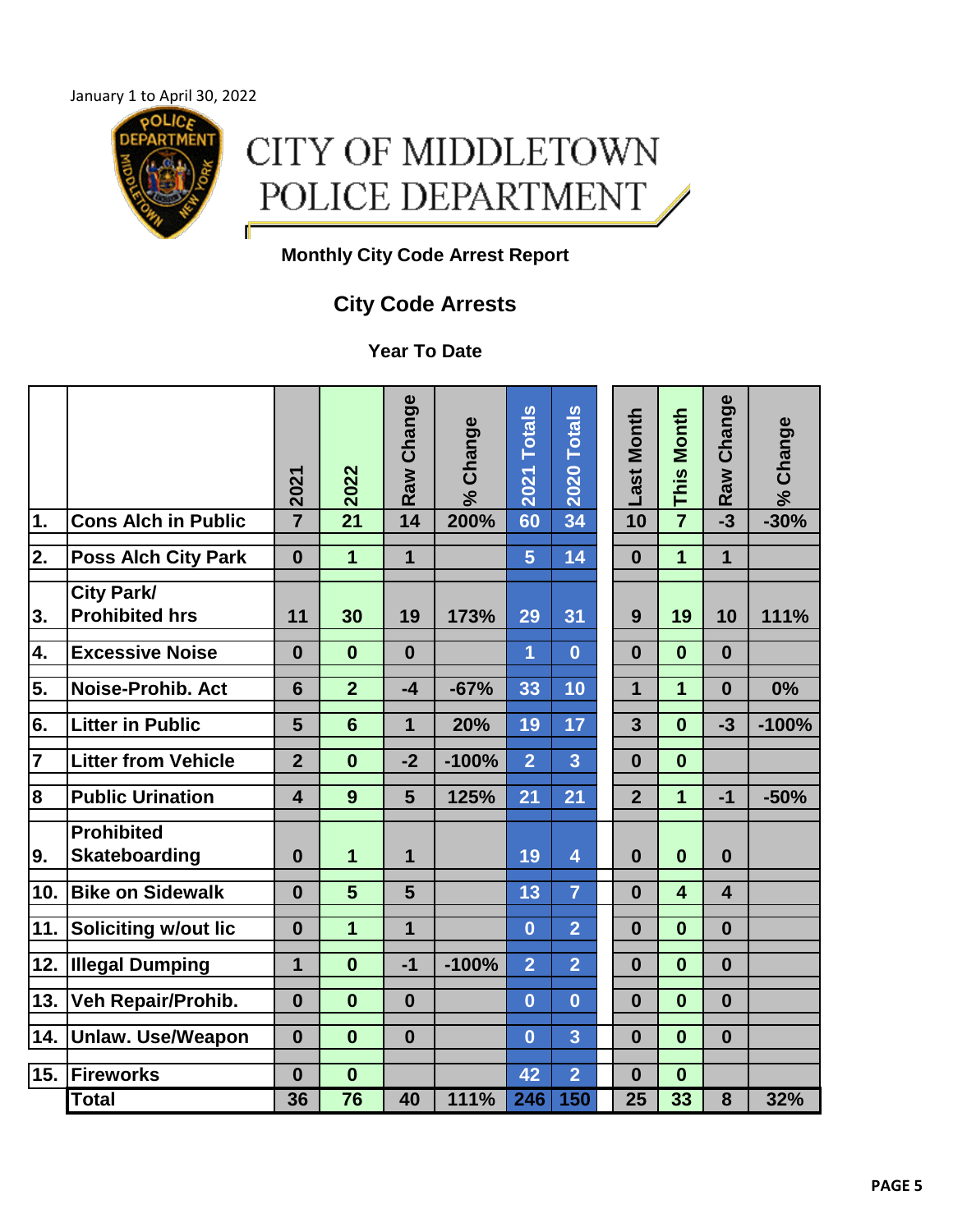January 1 to April 30, 2022 **POLIC** 



## **Monthly City Code Arrest Report**

## **City Code Arrests**

**Year To Date**

|                         |                                            | 2021                    | 2022            | Raw Change              | Change<br>$\aleph$ | <b>Totals</b><br>2021 | <b>Totals</b><br>2020 | Last Month     | <b>This Month</b>       | Change<br><b>Raw</b>    | Change<br>$\frac{5}{6}$ |
|-------------------------|--------------------------------------------|-------------------------|-----------------|-------------------------|--------------------|-----------------------|-----------------------|----------------|-------------------------|-------------------------|-------------------------|
| $\overline{1}$ .        | <b>Cons Alch in Public</b>                 | $\overline{7}$          |                 | 14                      | 200%               | 60                    | 34                    | 10             | $\overline{7}$          | $-3$                    | $-30%$                  |
| $\overline{2}$ .        | <b>Poss Alch City Park</b>                 | $\bf{0}$                | 1               | 1                       |                    | 5                     | 14                    | $\bf{0}$       | 1                       | 1                       |                         |
| 3.                      | <b>City Park/</b><br><b>Prohibited hrs</b> | 11                      | 30              | 19                      | 173%               | 29                    | 31                    | 9              | 19                      | 10                      | 111%                    |
| 4.                      | <b>Excessive Noise</b>                     | $\bf{0}$                | $\bf{0}$        | $\bf{0}$                |                    | $\overline{1}$        | $\bf{0}$              | $\bf{0}$       | $\bf{0}$                | $\bf{0}$                |                         |
| 5.                      | <b>Noise-Prohib. Act</b>                   | 6                       | $\overline{2}$  | $-4$                    | $-67%$             | 33                    | 10                    | $\overline{1}$ | $\overline{1}$          | $\bf{0}$                | 0%                      |
| 6.                      | <b>Litter in Public</b>                    | 5                       | $6\phantom{1}6$ | $\overline{\mathbf{1}}$ | 20%                | 19                    | 17                    | 3              | $\bf{0}$                | $-3$                    | $-100%$                 |
| $\overline{\mathbf{7}}$ | <b>Litter from Vehicle</b>                 | $\overline{2}$          | $\bf{0}$        | $-2$                    | $-100%$            | $\overline{2}$        | 3                     | $\bf{0}$       | $\bf{0}$                |                         |                         |
| $\overline{\mathbf{8}}$ | <b>Public Urination</b>                    | $\overline{\mathbf{4}}$ | 9               | $5\phantom{1}$          | 125%               | 21                    | 21                    | $\overline{2}$ | 1                       | $-1$                    | $-50%$                  |
| 9.                      | <b>Prohibited</b><br><b>Skateboarding</b>  | $\bf{0}$                | 1               | 1                       |                    | 19                    | 4                     | $\bf{0}$       | $\bf{0}$                | $\bf{0}$                |                         |
| 10.                     | <b>Bike on Sidewalk</b>                    | $\bf{0}$                | 5               | 5                       |                    | 13                    | $\overline{7}$        | $\bf{0}$       | $\overline{\mathbf{4}}$ | $\overline{\mathbf{4}}$ |                         |
| 11.                     | <b>Soliciting w/out lic</b>                | $\bf{0}$                | 1               | $\overline{1}$          |                    | $\bf{0}$              | $\overline{2}$        | $\mathbf{0}$   | $\bf{0}$                | $\bf{0}$                |                         |
| 12.                     | <b>Illegal Dumping</b>                     | $\mathbf{1}$            | $\bf{0}$        | $-1$                    | $-100%$            | $\overline{2}$        | $\overline{2}$        | $\bf{0}$       | $\bf{0}$                | $\bf{0}$                |                         |
| 13.                     | Veh Repair/Prohib.                         | $\bf{0}$                | $\bf{0}$        | $\boldsymbol{0}$        |                    | $\bf{0}$              | $\bf{0}$              | $\bf{0}$       | $\bf{0}$                | $\boldsymbol{0}$        |                         |
| 14.                     | <b>Unlaw. Use/Weapon</b>                   | $\bf{0}$                | $\bf{0}$        | $\bf{0}$                |                    | $\overline{0}$        | 3                     | $\bf{0}$       | $\bf{0}$                | $\bf{0}$                |                         |
| 15.                     | Fireworks                                  | $\bf{0}$                | $\bf{0}$        |                         |                    | 42                    | $\overline{2}$        | $\bf{0}$       | $\bf{0}$                |                         |                         |
|                         | <b>Total</b>                               | 36                      | 76              | 40                      | 111%               | 246                   | 150                   | 25             | 33                      | 8                       | 32%                     |